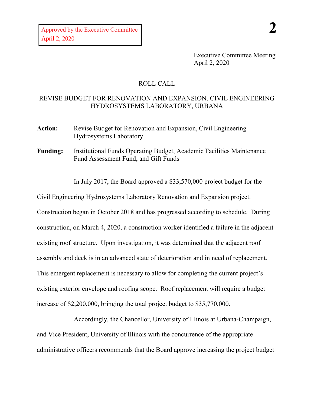Executive Committee Meeting April 2, 2020

## ROLL CALL

## REVISE BUDGET FOR RENOVATION AND EXPANSION, CIVIL ENGINEERING HYDROSYSTEMS LABORATORY, URBANA

- **Action:** Revise Budget for Renovation and Expansion, Civil Engineering Hydrosystems Laboratory
- **Funding:** Institutional Funds Operating Budget, Academic Facilities Maintenance Fund Assessment Fund, and Gift Funds

In July 2017, the Board approved a \$33,570,000 project budget for the

Civil Engineering Hydrosystems Laboratory Renovation and Expansion project.

Construction began in October 2018 and has progressed according to schedule. During construction, on March 4, 2020, a construction worker identified a failure in the adjacent existing roof structure. Upon investigation, it was determined that the adjacent roof assembly and deck is in an advanced state of deterioration and in need of replacement. This emergent replacement is necessary to allow for completing the current project's existing exterior envelope and roofing scope. Roof replacement will require a budget increase of \$2,200,000, bringing the total project budget to \$35,770,000.

Accordingly, the Chancellor, University of Illinois at Urbana-Champaign, and Vice President, University of Illinois with the concurrence of the appropriate administrative officers recommends that the Board approve increasing the project budget